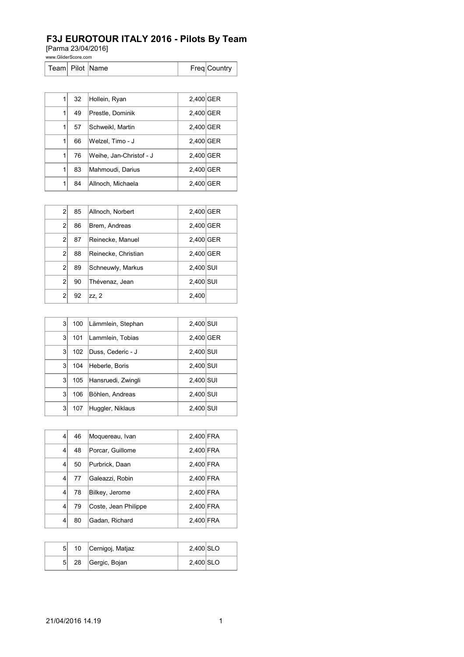## **F3J EUROTOUR ITALY 2016 - Pilots By Team**

[Parma 23/04/2016]

www.GliderScore.com

|  |  | Team   Pilot   Name |  | Freq Country |
|--|--|---------------------|--|--------------|
|--|--|---------------------|--|--------------|

| 1 | 32 | Hollein, Ryan           | 2,400 GER |  |
|---|----|-------------------------|-----------|--|
| 1 | 49 | Prestle, Dominik        | 2,400 GER |  |
| 1 | 57 | Schweikl, Martin        | 2,400 GER |  |
| 1 | 66 | Welzel, Timo - J        | 2,400 GER |  |
| 1 | 76 | Weihe, Jan-Christof - J | 2,400 GER |  |
| 1 | 83 | Mahmoudi, Darius        | 2,400 GER |  |
| 1 | 84 | Allnoch, Michaela       | 2.400 GER |  |

| $\overline{2}$ | 85 | Allnoch, Norbert    | 2,400 GER |  |
|----------------|----|---------------------|-----------|--|
| $\overline{2}$ | 86 | Brem, Andreas       | 2,400 GER |  |
| $\overline{2}$ | 87 | Reinecke, Manuel    | 2,400 GER |  |
| $\overline{2}$ | 88 | Reinecke, Christian | 2,400 GER |  |
| $\overline{2}$ | 89 | Schneuwly, Markus   | 2,400 SUI |  |
| $\overline{2}$ | 90 | Thévenaz, Jean      | 2,400 SUI |  |
| $\overline{2}$ | 92 | zz, 2               | 2,400     |  |

| 3 | 100 | Lämmlein, Stephan  | 2,400 SUI |  |
|---|-----|--------------------|-----------|--|
| 3 | 101 | Lammlein, Tobias   | 2,400 GER |  |
| 3 | 102 | Duss, Cederic - J  | 2,400 SUI |  |
| 3 | 104 | Heberle, Boris     | 2,400 SUI |  |
| 3 | 105 | Hansruedi, Zwingli | 2,400 SUI |  |
| 3 | 106 | Böhlen, Andreas    | 2,400 SUI |  |
| 3 | 107 | Huggler, Niklaus   | 2,400 SUI |  |

| 4 | 46 | Moquereau, Ivan      | 2,400 FRA |  |
|---|----|----------------------|-----------|--|
| 4 | 48 | Porcar, Guillome     | 2,400 FRA |  |
| 4 | 50 | Purbrick, Daan       | 2,400 FRA |  |
| 4 | 77 | Galeazzi, Robin      | 2,400 FRA |  |
| 4 | 78 | Bilkey, Jerome       | 2,400 FRA |  |
| 4 | 79 | Coste, Jean Philippe | 2,400 FRA |  |
| 4 | 80 | Gadan, Richard       | 2,400 FRA |  |

| 5 <sup>1</sup> |    | 10 Cernigoj, Matjaz | 2,400 SLO   |  |
|----------------|----|---------------------|-------------|--|
| 5              | 28 | Gergic, Bojan       | $2,400$ SLO |  |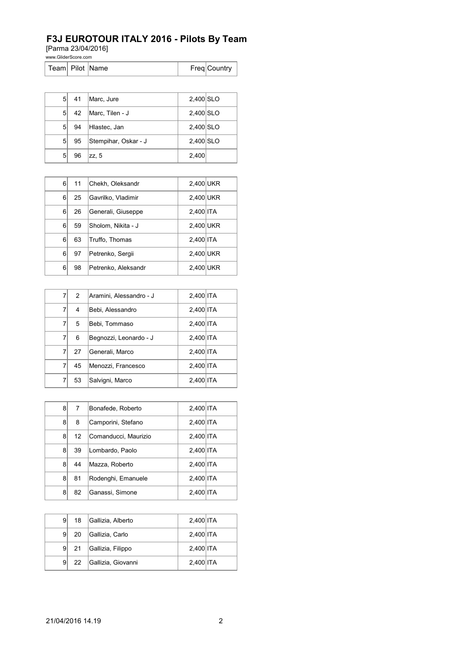## **F3J EUROTOUR ITALY 2016 - Pilots By Team**

[Parma 23/04/2016]

www.GliderScore.com

| Team Pilot Name |  |  |  | Freq Country |
|-----------------|--|--|--|--------------|
|-----------------|--|--|--|--------------|

| 51             | 41 | Marc, Jure           | 2,400 SLO |  |
|----------------|----|----------------------|-----------|--|
| 5 <sup>1</sup> | 42 | Marc, Tilen - J      | 2,400 SLO |  |
| 51             | 94 | Hlastec, Jan         | 2,400 SLO |  |
| 5 <sup>1</sup> | 95 | Stempihar, Oskar - J | 2,400 SLO |  |
| 5              | 96 | zz, 5                | 2,400     |  |

| 6        | 11 | Chekh, Oleksandr    | 2,400 UKR |  |
|----------|----|---------------------|-----------|--|
| $6 \mid$ | 25 | Gavrilko, Vladimir  | 2,400 UKR |  |
| $6 \mid$ | 26 | Generali, Giuseppe  | 2,400 ITA |  |
| 6        | 59 | Sholom, Nikita - J  | 2,400 UKR |  |
| 6        | 63 | Truffo, Thomas      | 2,400 ITA |  |
| 6        | 97 | Petrenko, Sergii    | 2,400 UKR |  |
| 6        | 98 | Petrenko, Aleksandr | 2,400 UKR |  |

| 7 | 2  | Aramini, Alessandro - J | 2,400 ITA |  |
|---|----|-------------------------|-----------|--|
| 7 | 4  | Bebi, Alessandro        | 2,400 ITA |  |
| 7 | 5  | Bebi, Tommaso           | 2,400 ITA |  |
| 7 | 6  | Begnozzi, Leonardo - J  | 2,400 ITA |  |
| 7 | 27 | Generali, Marco         | 2,400 ITA |  |
| 7 | 45 | Menozzi, Francesco      | 2,400 ITA |  |
| 7 | 53 | Salvigni, Marco         | 2,400 ITA |  |

| 8 | 7  | Bonafede, Roberto    | 2,400 ITA |  |
|---|----|----------------------|-----------|--|
| 8 | 8  | Camporini, Stefano   | 2,400 ITA |  |
| 8 | 12 | Comanducci, Maurizio | 2,400 ITA |  |
| 8 | 39 | Lombardo, Paolo      | 2,400 ITA |  |
| 8 | 44 | Mazza, Roberto       | 2,400 ITA |  |
| 8 | 81 | Rodenghi, Emanuele   | 2,400 ITA |  |
| 8 | 82 | Ganassi, Simone      | 2,400 ITA |  |

| 9  | 18  | Gallizia, Alberto  | 2,400 ITA |  |
|----|-----|--------------------|-----------|--|
| 9  | 20  | Gallizia, Carlo    | 2,400 ITA |  |
| 91 | -21 | Gallizia, Filippo  | 2,400 ITA |  |
| 9  | 22  | Gallizia, Giovanni | 2,400 ITA |  |